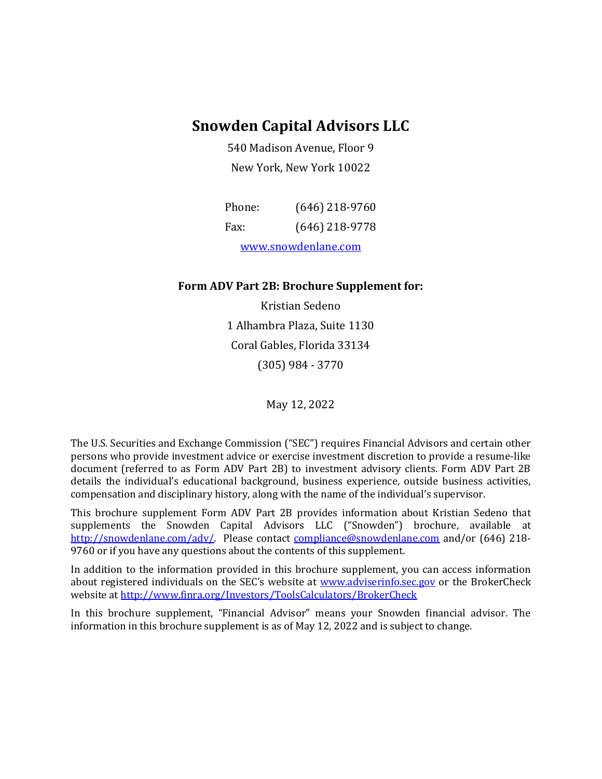### **Snowden Capital Advisors LLC**

540 Madison Avenue, Floor 9 New York, New York 10022

| Phone:              | $(646)$ 218-9760 |  |
|---------------------|------------------|--|
| Fax:                | $(646)$ 218-9778 |  |
| www.snowdenlane.com |                  |  |

#### **Form ADV Part 2B: Brochure Supplement for:**

Kristian Sedeno 1 Alhambra Plaza, Suite 1130 Coral Gables, Florida 33134 (305) 984 - 3770

May 12, 2022

The U.S. Securities and Exchange Commission ("SEC") requires Financial Advisors and certain other persons who provide investment advice or exercise investment discretion to provide a resume-like document (referred to as Form ADV Part 2B) to investment advisory clients. Form ADV Part 2B details the individual's educational background, business experience, outside business activities, compensation and disciplinary history, along with the name of the individual's supervisor.

This brochure supplement Form ADV Part 2B provides information about Kristian Sedeno that supplements the Snowden Capital Advisors LLC ("Snowden") brochure, available at [http://snowdenlane.com/adv/.](http://snowdenlane.com/adv/) Please contact [compliance@snowdenlane.com](mailto:compliance@snowdenlane.com) and/or (646) 218- 9760 or if you have any questions about the contents of this supplement.

In addition to the information provided in this brochure supplement, you can access information about registered individuals on the SEC's website at [www.adviserinfo.sec.gov](http://www.adviserinfo.sec.gov/) or the BrokerCheck website a[t http://www.finra.org/Investors/ToolsCalculators/BrokerCheck](http://www.finra.org/Investors/ToolsCalculators/BrokerCheck)

In this brochure supplement, "Financial Advisor" means your Snowden financial advisor. The information in this brochure supplement is as of May 12, 2022 and is subject to change.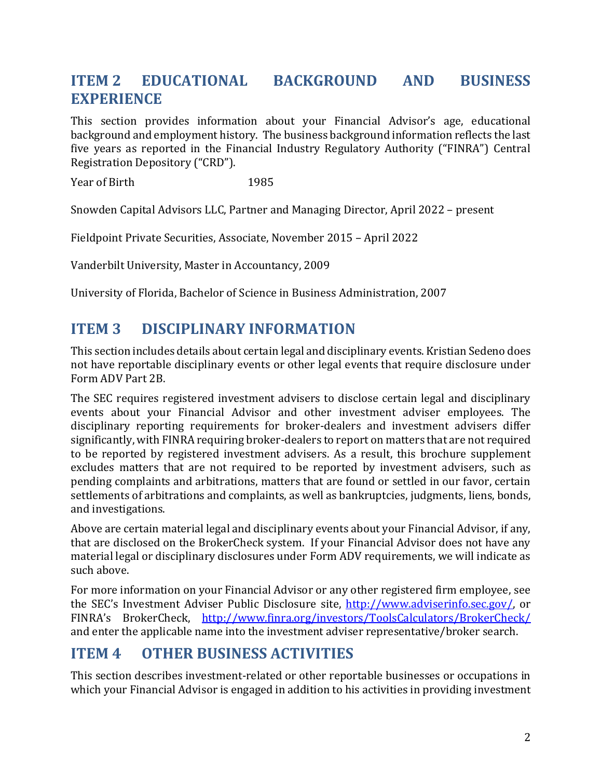# **ITEM 2 EDUCATIONAL BACKGROUND AND BUSINESS EXPERIENCE**

This section provides information about your Financial Advisor's age, educational background and employment history. The business background information reflects the last five years as reported in the Financial Industry Regulatory Authority ("FINRA") Central Registration Depository ("CRD").

Year of Birth 1985

Snowden Capital Advisors LLC, Partner and Managing Director, April 2022 – present

Fieldpoint Private Securities, Associate, November 2015 – April 2022

Vanderbilt University, Master in Accountancy, 2009

University of Florida, Bachelor of Science in Business Administration, 2007

# **ITEM 3 DISCIPLINARY INFORMATION**

This section includes details about certain legal and disciplinary events. Kristian Sedeno does not have reportable disciplinary events or other legal events that require disclosure under Form ADV Part 2B.

The SEC requires registered investment advisers to disclose certain legal and disciplinary events about your Financial Advisor and other investment adviser employees. The disciplinary reporting requirements for broker-dealers and investment advisers differ significantly, with FINRA requiring broker-dealers to report on matters that are not required to be reported by registered investment advisers. As a result, this brochure supplement excludes matters that are not required to be reported by investment advisers, such as pending complaints and arbitrations, matters that are found or settled in our favor, certain settlements of arbitrations and complaints, as well as bankruptcies, judgments, liens, bonds, and investigations.

Above are certain material legal and disciplinary events about your Financial Advisor, if any, that are disclosed on the BrokerCheck system. If your Financial Advisor does not have any material legal or disciplinary disclosures under Form ADV requirements, we will indicate as such above.

For more information on your Financial Advisor or any other registered firm employee, see the SEC's Investment Adviser Public Disclosure site, [http://www.adviserinfo.sec.gov/,](http://www.adviserinfo.sec.gov/) or FINRA's BrokerCheck, <http://www.finra.org/investors/ToolsCalculators/BrokerCheck/> and enter the applicable name into the investment adviser representative/broker search.

## **ITEM 4 OTHER BUSINESS ACTIVITIES**

This section describes investment-related or other reportable businesses or occupations in which your Financial Advisor is engaged in addition to his activities in providing investment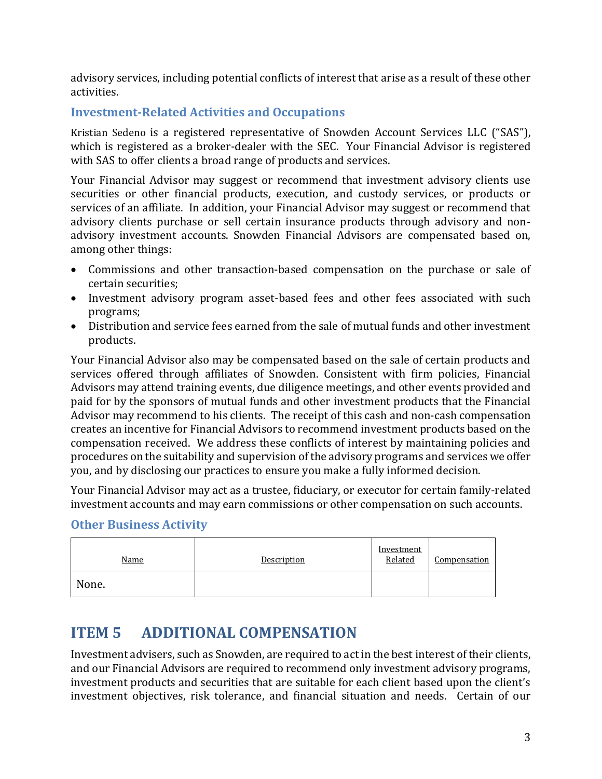advisory services, including potential conflicts of interest that arise as a result of these other activities.

### **Investment-Related Activities and Occupations**

Kristian Sedeno is a registered representative of Snowden Account Services LLC ("SAS"), which is registered as a broker-dealer with the SEC. Your Financial Advisor is registered with SAS to offer clients a broad range of products and services.

Your Financial Advisor may suggest or recommend that investment advisory clients use securities or other financial products, execution, and custody services, or products or services of an affiliate. In addition, your Financial Advisor may suggest or recommend that advisory clients purchase or sell certain insurance products through advisory and nonadvisory investment accounts. Snowden Financial Advisors are compensated based on, among other things:

- Commissions and other transaction-based compensation on the purchase or sale of certain securities;
- Investment advisory program asset-based fees and other fees associated with such programs;
- Distribution and service fees earned from the sale of mutual funds and other investment products.

Your Financial Advisor also may be compensated based on the sale of certain products and services offered through affiliates of Snowden. Consistent with firm policies, Financial Advisors may attend training events, due diligence meetings, and other events provided and paid for by the sponsors of mutual funds and other investment products that the Financial Advisor may recommend to his clients. The receipt of this cash and non-cash compensation creates an incentive for Financial Advisors to recommend investment products based on the compensation received. We address these conflicts of interest by maintaining policies and procedures on the suitability and supervision of the advisory programs and services we offer you, and by disclosing our practices to ensure you make a fully informed decision.

Your Financial Advisor may act as a trustee, fiduciary, or executor for certain family-related investment accounts and may earn commissions or other compensation on such accounts.

#### **Other Business Activity**

| <u>Name</u> | Description | Investment<br>Related | <b>Compensation</b> |
|-------------|-------------|-----------------------|---------------------|
| None.       |             |                       |                     |

## **ITEM 5 ADDITIONAL COMPENSATION**

Investment advisers, such as Snowden, are required to act in the best interest of their clients, and our Financial Advisors are required to recommend only investment advisory programs, investment products and securities that are suitable for each client based upon the client's investment objectives, risk tolerance, and financial situation and needs. Certain of our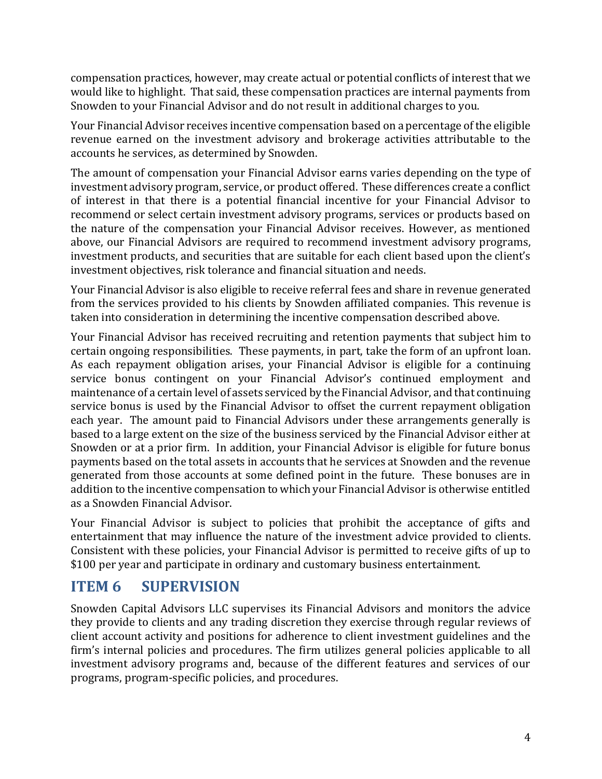compensation practices, however, may create actual or potential conflicts of interest that we would like to highlight. That said, these compensation practices are internal payments from Snowden to your Financial Advisor and do not result in additional charges to you.

Your Financial Advisor receives incentive compensation based on a percentage of the eligible revenue earned on the investment advisory and brokerage activities attributable to the accounts he services, as determined by Snowden.

The amount of compensation your Financial Advisor earns varies depending on the type of investment advisory program, service, or product offered. These differences create a conflict of interest in that there is a potential financial incentive for your Financial Advisor to recommend or select certain investment advisory programs, services or products based on the nature of the compensation your Financial Advisor receives. However, as mentioned above, our Financial Advisors are required to recommend investment advisory programs, investment products, and securities that are suitable for each client based upon the client's investment objectives, risk tolerance and financial situation and needs.

Your Financial Advisor is also eligible to receive referral fees and share in revenue generated from the services provided to his clients by Snowden affiliated companies. This revenue is taken into consideration in determining the incentive compensation described above.

Your Financial Advisor has received recruiting and retention payments that subject him to certain ongoing responsibilities. These payments, in part, take the form of an upfront loan. As each repayment obligation arises, your Financial Advisor is eligible for a continuing service bonus contingent on your Financial Advisor's continued employment and maintenance of a certain level of assets serviced by the Financial Advisor, and that continuing service bonus is used by the Financial Advisor to offset the current repayment obligation each year. The amount paid to Financial Advisors under these arrangements generally is based to a large extent on the size of the business serviced by the Financial Advisor either at Snowden or at a prior firm. In addition, your Financial Advisor is eligible for future bonus payments based on the total assets in accounts that he services at Snowden and the revenue generated from those accounts at some defined point in the future. These bonuses are in addition to the incentive compensation to which your Financial Advisor is otherwise entitled as a Snowden Financial Advisor.

Your Financial Advisor is subject to policies that prohibit the acceptance of gifts and entertainment that may influence the nature of the investment advice provided to clients. Consistent with these policies, your Financial Advisor is permitted to receive gifts of up to \$100 per year and participate in ordinary and customary business entertainment.

## **ITEM 6 SUPERVISION**

Snowden Capital Advisors LLC supervises its Financial Advisors and monitors the advice they provide to clients and any trading discretion they exercise through regular reviews of client account activity and positions for adherence to client investment guidelines and the firm's internal policies and procedures. The firm utilizes general policies applicable to all investment advisory programs and, because of the different features and services of our programs, program-specific policies, and procedures.